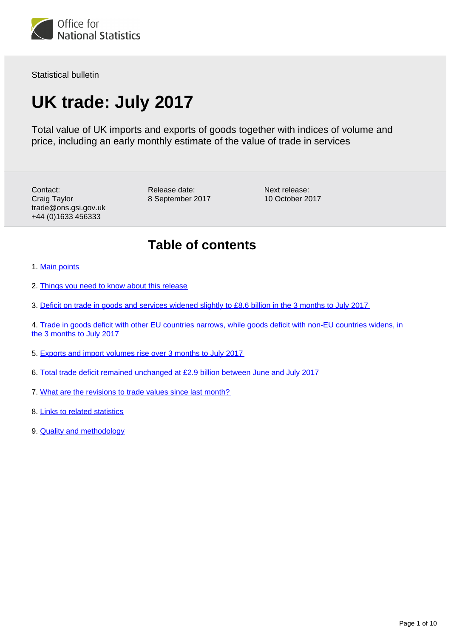

Statistical bulletin

# **UK trade: July 2017**

Total value of UK imports and exports of goods together with indices of volume and price, including an early monthly estimate of the value of trade in services

Contact: Craig Taylor trade@ons.gsi.gov.uk +44 (0)1633 456333

Release date: 8 September 2017 Next release: 10 October 2017

### **Table of contents**

- 1. [Main points](#page-1-0)
- 2. [Things you need to know about this release](#page-1-1)
- 3. [Deficit on trade in goods and services widened slightly to £8.6 billion in the 3 months to July 2017](#page-2-0)
- 4. [Trade in goods deficit with other EU countries narrows, while goods deficit with non-EU countries widens, in](#page-3-0)  [the 3 months to July 2017](#page-3-0)
- 5. [Exports and import volumes rise over 3 months to July 2017](#page-5-0)
- 6. [Total trade deficit remained unchanged at £2.9 billion between June and July 2017](#page-8-0)
- 7. [What are the revisions to trade values since last month?](#page-8-1)
- 8. [Links to related statistics](#page-8-2)
- 9. [Quality and methodology](#page-9-0)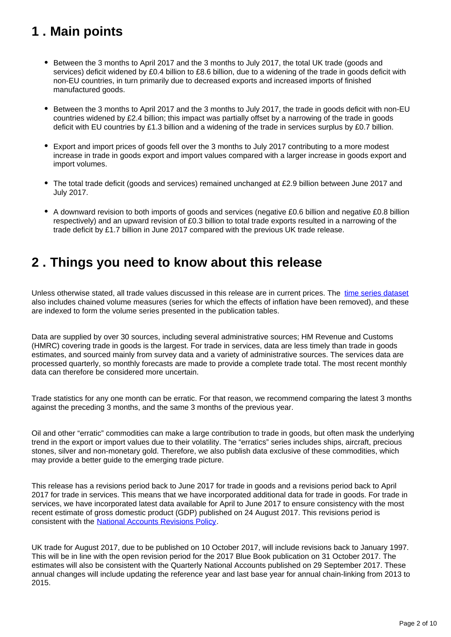## <span id="page-1-0"></span>**1 . Main points**

- Between the 3 months to April 2017 and the 3 months to July 2017, the total UK trade (goods and services) deficit widened by £0.4 billion to £8.6 billion, due to a widening of the trade in goods deficit with non-EU countries, in turn primarily due to decreased exports and increased imports of finished manufactured goods.
- Between the 3 months to April 2017 and the 3 months to July 2017, the trade in goods deficit with non-EU countries widened by £2.4 billion; this impact was partially offset by a narrowing of the trade in goods deficit with EU countries by £1.3 billion and a widening of the trade in services surplus by £0.7 billion.
- Export and import prices of goods fell over the 3 months to July 2017 contributing to a more modest increase in trade in goods export and import values compared with a larger increase in goods export and import volumes.
- The total trade deficit (goods and services) remained unchanged at £2.9 billion between June 2017 and July 2017.
- A downward revision to both imports of goods and services (negative £0.6 billion and negative £0.8 billion respectively) and an upward revision of £0.3 billion to total trade exports resulted in a narrowing of the trade deficit by £1.7 billion in June 2017 compared with the previous UK trade release.

### <span id="page-1-1"></span>**2 . Things you need to know about this release**

Unless otherwise stated, all trade values discussed in this release are in current prices. The [time series dataset](https://www.ons.gov.uk/economy/nationalaccounts/balanceofpayments/datasets/tradeingoodsmretsallbopeu2013timeseriesspreadsheet) also includes chained volume measures (series for which the effects of inflation have been removed), and these are indexed to form the volume series presented in the publication tables.

Data are supplied by over 30 sources, including several administrative sources; HM Revenue and Customs (HMRC) covering trade in goods is the largest. For trade in services, data are less timely than trade in goods estimates, and sourced mainly from survey data and a variety of administrative sources. The services data are processed quarterly, so monthly forecasts are made to provide a complete trade total. The most recent monthly data can therefore be considered more uncertain.

Trade statistics for any one month can be erratic. For that reason, we recommend comparing the latest 3 months against the preceding 3 months, and the same 3 months of the previous year.

Oil and other "erratic" commodities can make a large contribution to trade in goods, but often mask the underlying trend in the export or import values due to their volatility. The "erratics" series includes ships, aircraft, precious stones, silver and non-monetary gold. Therefore, we also publish data exclusive of these commodities, which may provide a better guide to the emerging trade picture.

This release has a revisions period back to June 2017 for trade in goods and a revisions period back to April 2017 for trade in services. This means that we have incorporated additional data for trade in goods. For trade in services, we have incorporated latest data available for April to June 2017 to ensure consistency with the most recent estimate of gross domestic product (GDP) published on 24 August 2017. This revisions period is consistent with the [National Accounts Revisions Policy.](http://www.ons.gov.uk/methodology/methodologytopicsandstatisticalconcepts/revisions/revisionspoliciesforeconomicstatistics)

UK trade for August 2017, due to be published on 10 October 2017, will include revisions back to January 1997. This will be in line with the open revision period for the 2017 Blue Book publication on 31 October 2017. The estimates will also be consistent with the Quarterly National Accounts published on 29 September 2017. These annual changes will include updating the reference year and last base year for annual chain-linking from 2013 to 2015.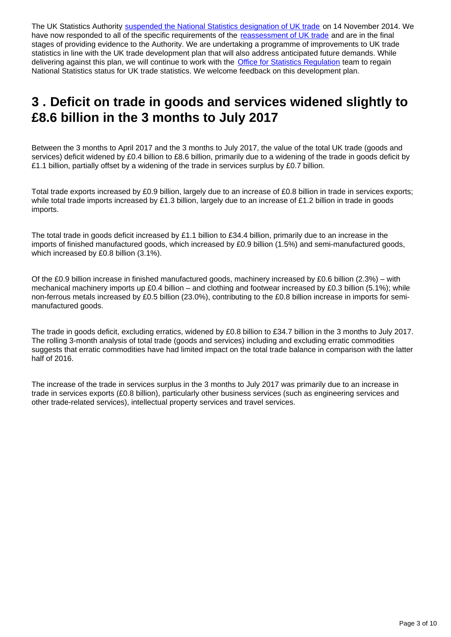The UK Statistics Authority [suspended the National Statistics designation of UK trade](http://www.statisticsauthority.gov.uk/reports---correspondence/correspondence/letter-from-sir-andrew-dilnot-to-john-pullinger-141114.pdf) on 14 November 2014. We have now responded to all of the specific requirements of the [reassessment of UK trade](https://www.statisticsauthority.gov.uk/publication/statistics-on-uk-trade/) and are in the final stages of providing evidence to the Authority. We are undertaking a programme of improvements to UK trade statistics in line with the UK trade development plan that will also address anticipated future demands. While delivering against this plan, we will continue to work with the **[Office for Statistics Regulation](https://www.statisticsauthority.gov.uk/monitoring-and-assessment/)** team to regain National Statistics status for UK trade statistics. We welcome feedback on this development plan.

### <span id="page-2-0"></span>**3 . Deficit on trade in goods and services widened slightly to £8.6 billion in the 3 months to July 2017**

Between the 3 months to April 2017 and the 3 months to July 2017, the value of the total UK trade (goods and services) deficit widened by £0.4 billion to £8.6 billion, primarily due to a widening of the trade in goods deficit by £1.1 billion, partially offset by a widening of the trade in services surplus by £0.7 billion.

Total trade exports increased by £0.9 billion, largely due to an increase of £0.8 billion in trade in services exports; while total trade imports increased by £1.3 billion, largely due to an increase of £1.2 billion in trade in goods imports.

The total trade in goods deficit increased by £1.1 billion to £34.4 billion, primarily due to an increase in the imports of finished manufactured goods, which increased by £0.9 billion (1.5%) and semi-manufactured goods, which increased by £0.8 billion (3.1%).

Of the £0.9 billion increase in finished manufactured goods, machinery increased by £0.6 billion (2.3%) – with mechanical machinery imports up £0.4 billion – and clothing and footwear increased by £0.3 billion (5.1%); while non-ferrous metals increased by £0.5 billion (23.0%), contributing to the £0.8 billion increase in imports for semimanufactured goods.

The trade in goods deficit, excluding erratics, widened by £0.8 billion to £34.7 billion in the 3 months to July 2017. The rolling 3-month analysis of total trade (goods and services) including and excluding erratic commodities suggests that erratic commodities have had limited impact on the total trade balance in comparison with the latter half of 2016.

The increase of the trade in services surplus in the 3 months to July 2017 was primarily due to an increase in trade in services exports (£0.8 billion), particularly other business services (such as engineering services and other trade-related services), intellectual property services and travel services.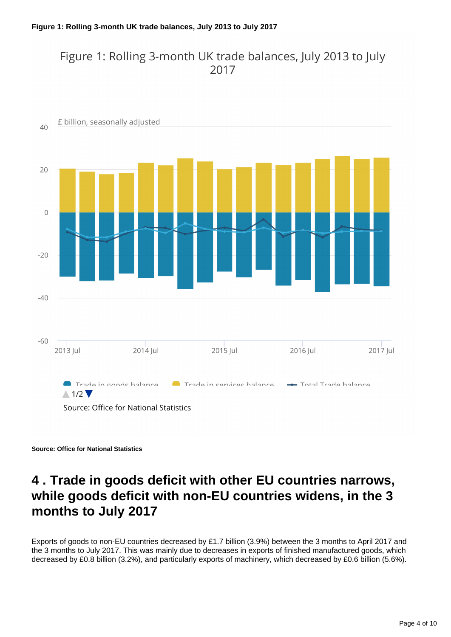### Figure 1: Rolling 3-month UK trade balances, July 2013 to July 2017



**Source: Office for National Statistics**

### <span id="page-3-0"></span>**4 . Trade in goods deficit with other EU countries narrows, while goods deficit with non-EU countries widens, in the 3 months to July 2017**

Exports of goods to non-EU countries decreased by £1.7 billion (3.9%) between the 3 months to April 2017 and the 3 months to July 2017. This was mainly due to decreases in exports of finished manufactured goods, which decreased by £0.8 billion (3.2%), and particularly exports of machinery, which decreased by £0.6 billion (5.6%).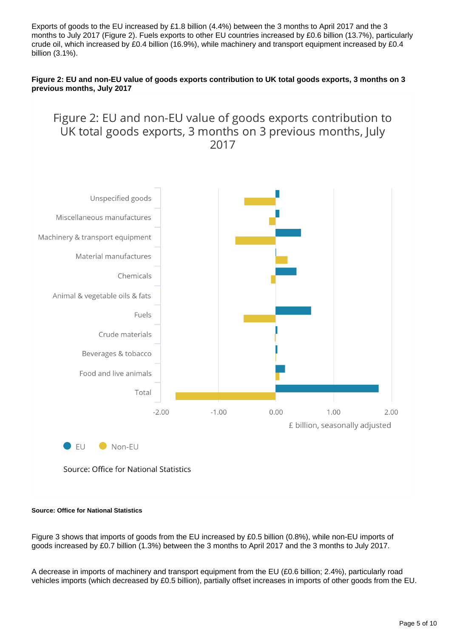Exports of goods to the EU increased by £1.8 billion (4.4%) between the 3 months to April 2017 and the 3 months to July 2017 (Figure 2). Fuels exports to other EU countries increased by £0.6 billion (13.7%), particularly crude oil, which increased by £0.4 billion (16.9%), while machinery and transport equipment increased by £0.4 billion (3.1%).

#### **Figure 2: EU and non-EU value of goods exports contribution to UK total goods exports, 3 months on 3 previous months, July 2017**

### Figure 2: EU and non-EU value of goods exports contribution to UK total goods exports, 3 months on 3 previous months, July 2017



Source: Office for National Statistics

#### **Source: Office for National Statistics**

Figure 3 shows that imports of goods from the EU increased by £0.5 billion (0.8%), while non-EU imports of goods increased by £0.7 billion (1.3%) between the 3 months to April 2017 and the 3 months to July 2017.

A decrease in imports of machinery and transport equipment from the EU (£0.6 billion; 2.4%), particularly road vehicles imports (which decreased by £0.5 billion), partially offset increases in imports of other goods from the EU.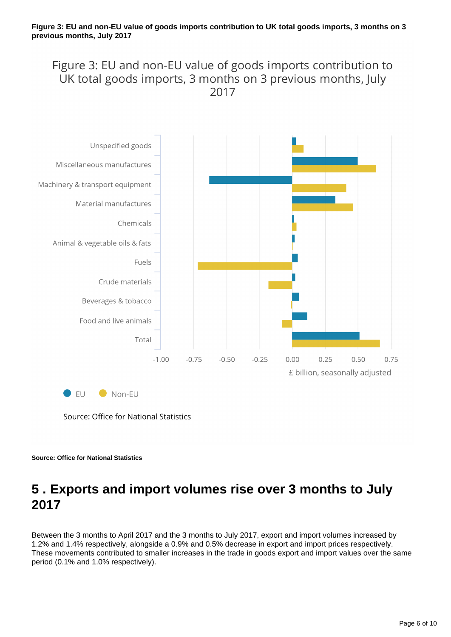Figure 3: EU and non-EU value of goods imports contribution to UK total goods imports, 3 months on 3 previous months, July 2017



Source: Office for National Statistics

**Source: Office for National Statistics**

## <span id="page-5-0"></span>**5 . Exports and import volumes rise over 3 months to July 2017**

Between the 3 months to April 2017 and the 3 months to July 2017, export and import volumes increased by 1.2% and 1.4% respectively, alongside a 0.9% and 0.5% decrease in export and import prices respectively. These movements contributed to smaller increases in the trade in goods export and import values over the same period (0.1% and 1.0% respectively).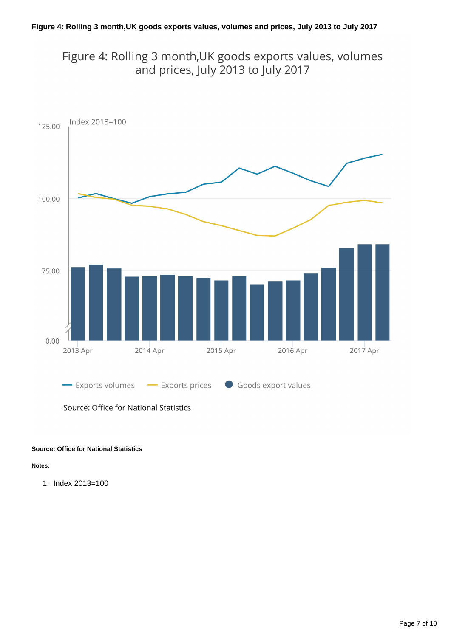Figure 4: Rolling 3 month, UK goods exports values, volumes and prices, July 2013 to July 2017



Source: Office for National Statistics

#### **Source: Office for National Statistics**

**Notes:**

1. Index 2013=100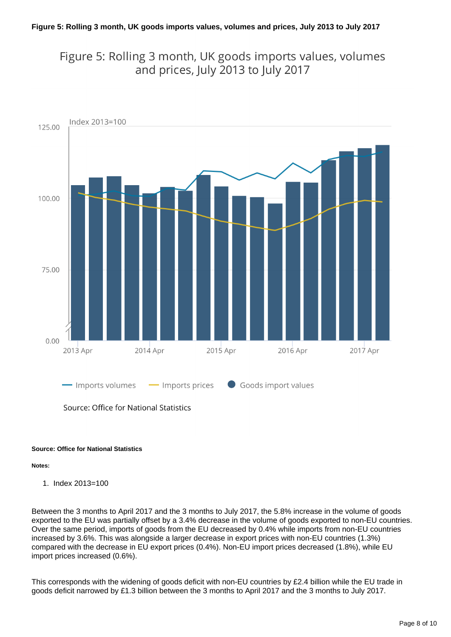Figure 5: Rolling 3 month, UK goods imports values, volumes and prices, July 2013 to July 2017



Source: Office for National Statistics

#### **Source: Office for National Statistics**

#### **Notes:**

1. Index 2013=100

Between the 3 months to April 2017 and the 3 months to July 2017, the 5.8% increase in the volume of goods exported to the EU was partially offset by a 3.4% decrease in the volume of goods exported to non-EU countries. Over the same period, imports of goods from the EU decreased by 0.4% while imports from non-EU countries increased by 3.6%. This was alongside a larger decrease in export prices with non-EU countries (1.3%) compared with the decrease in EU export prices (0.4%). Non-EU import prices decreased (1.8%), while EU import prices increased (0.6%).

This corresponds with the widening of goods deficit with non-EU countries by £2.4 billion while the EU trade in goods deficit narrowed by £1.3 billion between the 3 months to April 2017 and the 3 months to July 2017.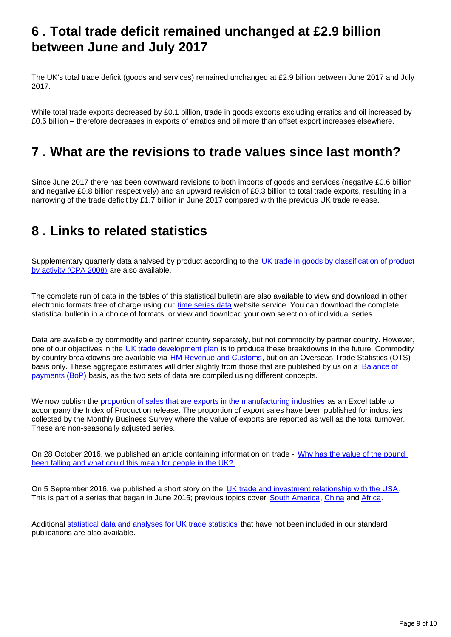### <span id="page-8-0"></span>**6 . Total trade deficit remained unchanged at £2.9 billion between June and July 2017**

The UK's total trade deficit (goods and services) remained unchanged at £2.9 billion between June 2017 and July 2017.

While total trade exports decreased by £0.1 billion, trade in goods exports excluding erratics and oil increased by £0.6 billion – therefore decreases in exports of erratics and oil more than offset export increases elsewhere.

### <span id="page-8-1"></span>**7 . What are the revisions to trade values since last month?**

Since June 2017 there has been downward revisions to both imports of goods and services (negative £0.6 billion and negative £0.8 billion respectively) and an upward revision of £0.3 billion to total trade exports, resulting in a narrowing of the trade deficit by £1.7 billion in June 2017 compared with the previous UK trade release.

### <span id="page-8-2"></span>**8 . Links to related statistics**

Supplementary quarterly data analysed by product according to the UK trade in goods by classification of product [by activity \(CPA 2008\)](https://www.ons.gov.uk/economy/nationalaccounts/balanceofpayments/datasets/publicationtablesuktradecpa08) are also available.

The complete run of data in the tables of this statistical bulletin are also available to view and download in other electronic formats free of charge using our [time series data](https://www.ons.gov.uk/economy/nationalaccounts/balanceofpayments/datasets/tradeingoodsmretsallbopeu2013timeseriesspreadsheet) website service. You can download the complete statistical bulletin in a choice of formats, or view and download your own selection of individual series.

Data are available by commodity and partner country separately, but not commodity by partner country. However, one of our objectives in the [UK trade development plan](https://www.ons.gov.uk/economy/nationalaccounts/balanceofpayments/articles/uktradedevelopmentplan/2017) is to produce these breakdowns in the future. Commodity by country breakdowns are available via **[HM Revenue and Customs](http://www.uktradeinfo.com/)**, but on an Overseas Trade Statistics (OTS) basis only. These aggregate estimates will differ slightly from those that are published by us on a Balance of [payments \(BoP\)](https://www.ons.gov.uk/economy/nationalaccounts/balanceofpayments/methodologies/balanceofpayments) basis, as the two sets of data are compiled using different concepts.

We now publish the [proportion of sales that are exports in the manufacturing industries](https://www.ons.gov.uk/economy/economicoutputandproductivity/output/datasets/exportproportionsformanufacturingindustries) as an Excel table to accompany the Index of Production release. The proportion of export sales have been published for industries collected by the Monthly Business Survey where the value of exports are reported as well as the total turnover. These are non-seasonally adjusted series.

On 28 October 2016, we published an article containing information on trade - [Why has the value of the pound](http://visual.ons.gov.uk/why-has-the-value-of-the-pound-been-falling-and-what-could-this-mean-for-people-in-the-uk/)  [been falling and what could this mean for people in the UK?](http://visual.ons.gov.uk/why-has-the-value-of-the-pound-been-falling-and-what-could-this-mean-for-people-in-the-uk/)

On 5 September 2016, we published a short story on the [UK trade and investment relationship with the USA.](https://www.ons.gov.uk/releases/theuktradeandinvestmentrelationshipwiththeunitedstatesofamerica) This is part of a series that began in June 2015; previous topics cover [South America,](https://www.ons.gov.uk/economy/nationalaccounts/balanceofpayments/articles/uktradeandinvestmentwithsouthamerica/2016) [China](http://visual.ons.gov.uk/how-important-is-china-to-the-economy/) and [Africa](https://www.ons.gov.uk/economy/nationalaccounts/balanceofpayments/articles/theukstradeandinvestmentrelationshipwithafrica/2016).

Additional [statistical data and analyses for UK trade statistics](https://www.ons.gov.uk/aboutus/whatwedo/statistics/requestingstatistics/alladhocs) that have not been included in our standard publications are also available.